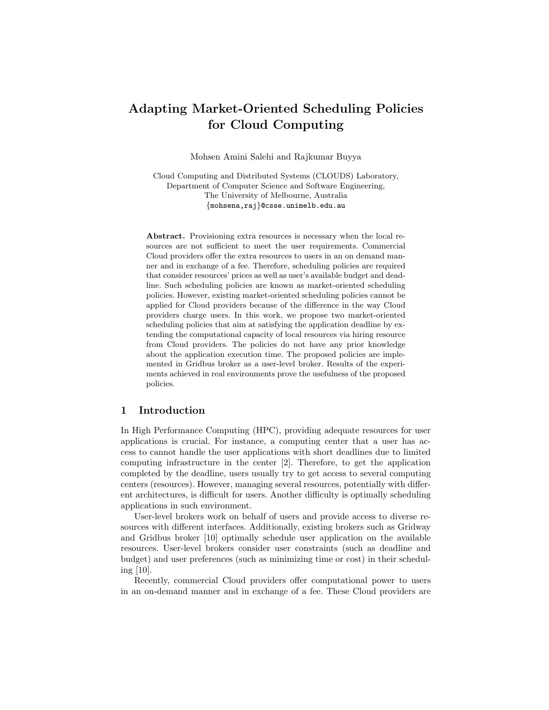# Adapting Market-Oriented Scheduling Policies for Cloud Computing

Mohsen Amini Salehi and Rajkumar Buyya

Cloud Computing and Distributed Systems (CLOUDS) Laboratory, Department of Computer Science and Software Engineering, The University of Melbourne, Australia {mohsena,raj}@csse.unimelb.edu.au

Abstract. Provisioning extra resources is necessary when the local resources are not sufficient to meet the user requirements. Commercial Cloud providers offer the extra resources to users in an on demand manner and in exchange of a fee. Therefore, scheduling policies are required that consider resources' prices as well as user's available budget and deadline. Such scheduling policies are known as market-oriented scheduling policies. However, existing market-oriented scheduling policies cannot be applied for Cloud providers because of the difference in the way Cloud providers charge users. In this work, we propose two market-oriented scheduling policies that aim at satisfying the application deadline by extending the computational capacity of local resources via hiring resource from Cloud providers. The policies do not have any prior knowledge about the application execution time. The proposed policies are implemented in Gridbus broker as a user-level broker. Results of the experiments achieved in real environments prove the usefulness of the proposed policies.

#### 1 Introduction

In High Performance Computing (HPC), providing adequate resources for user applications is crucial. For instance, a computing center that a user has access to cannot handle the user applications with short deadlines due to limited computing infrastructure in the center [2]. Therefore, to get the application completed by the deadline, users usually try to get access to several computing centers (resources). However, managing several resources, potentially with different architectures, is difficult for users. Another difficulty is optimally scheduling applications in such environment.

User-level brokers work on behalf of users and provide access to diverse resources with different interfaces. Additionally, existing brokers such as Gridway and Gridbus broker [10] optimally schedule user application on the available resources. User-level brokers consider user constraints (such as deadline and budget) and user preferences (such as minimizing time or cost) in their scheduling [10].

Recently, commercial Cloud providers offer computational power to users in an on-demand manner and in exchange of a fee. These Cloud providers are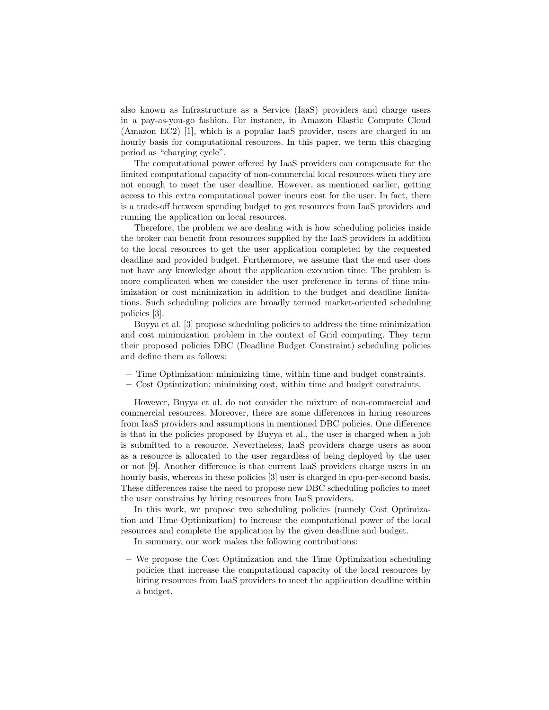also known as Infrastructure as a Service (IaaS) providers and charge users in a pay-as-you-go fashion. For instance, in Amazon Elastic Compute Cloud (Amazon EC2) [1], which is a popular IaaS provider, users are charged in an hourly basis for computational resources. In this paper, we term this charging period as "charging cycle".

The computational power offered by IaaS providers can compensate for the limited computational capacity of non-commercial local resources when they are not enough to meet the user deadline. However, as mentioned earlier, getting access to this extra computational power incurs cost for the user. In fact, there is a trade-off between spending budget to get resources from IaaS providers and running the application on local resources.

Therefore, the problem we are dealing with is how scheduling policies inside the broker can benefit from resources supplied by the IaaS providers in addition to the local resources to get the user application completed by the requested deadline and provided budget. Furthermore, we assume that the end user does not have any knowledge about the application execution time. The problem is more complicated when we consider the user preference in terms of time minimization or cost minimization in addition to the budget and deadline limitations. Such scheduling policies are broadly termed market-oriented scheduling policies [3].

Buyya et al. [3] propose scheduling policies to address the time minimization and cost minimization problem in the context of Grid computing. They term their proposed policies DBC (Deadline Budget Constraint) scheduling policies and define them as follows:

- Time Optimization: minimizing time, within time and budget constraints.
- Cost Optimization: minimizing cost, within time and budget constraints.

However, Buyya et al. do not consider the mixture of non-commercial and commercial resources. Moreover, there are some differences in hiring resources from IaaS providers and assumptions in mentioned DBC policies. One difference is that in the policies proposed by Buyya et al., the user is charged when a job is submitted to a resource. Nevertheless, IaaS providers charge users as soon as a resource is allocated to the user regardless of being deployed by the user or not [9]. Another difference is that current IaaS providers charge users in an hourly basis, whereas in these policies [3] user is charged in cpu-per-second basis. These differences raise the need to propose new DBC scheduling policies to meet the user constrains by hiring resources from IaaS providers.

In this work, we propose two scheduling policies (namely Cost Optimization and Time Optimization) to increase the computational power of the local resources and complete the application by the given deadline and budget.

In summary, our work makes the following contributions:

– We propose the Cost Optimization and the Time Optimization scheduling policies that increase the computational capacity of the local resources by hiring resources from IaaS providers to meet the application deadline within a budget.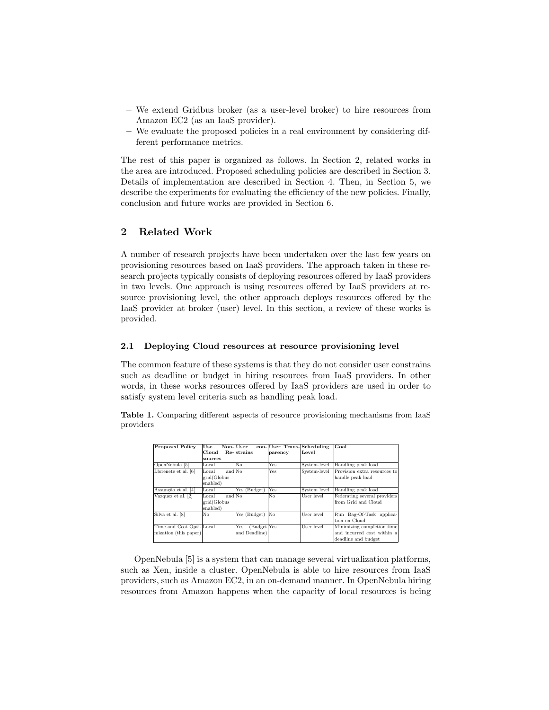- We extend Gridbus broker (as a user-level broker) to hire resources from Amazon EC2 (as an IaaS provider).
- We evaluate the proposed policies in a real environment by considering different performance metrics.

The rest of this paper is organized as follows. In Section 2, related works in the area are introduced. Proposed scheduling policies are described in Section 3. Details of implementation are described in Section 4. Then, in Section 5, we describe the experiments for evaluating the efficiency of the new policies. Finally, conclusion and future works are provided in Section 6.

## 2 Related Work

A number of research projects have been undertaken over the last few years on provisioning resources based on IaaS providers. The approach taken in these research projects typically consists of deploying resources offered by IaaS providers in two levels. One approach is using resources offered by IaaS providers at resource provisioning level, the other approach deploys resources offered by the IaaS provider at broker (user) level. In this section, a review of these works is provided.

#### 2.1 Deploying Cloud resources at resource provisioning level

The common feature of these systems is that they do not consider user constrains such as deadline or budget in hiring resources from IaaS providers. In other words, in these works resources offered by IaaS providers are used in order to satisfy system level criteria such as handling peak load.

Table 1. Comparing different aspects of resource provisioning mechanisms from IaaS providers

| <b>Proposed Policy</b>   | Non-User<br>Use |                    | con-User Trans-Scheduling |              | Goal                         |
|--------------------------|-----------------|--------------------|---------------------------|--------------|------------------------------|
|                          | Cloud           | Re-strains         | parency                   | Level        |                              |
|                          | sources         |                    |                           |              |                              |
| OpenNebula [5]           | Local           | No                 | Yes                       | System-level | Handling peak load           |
| Llorenete et al. [6]     | andNo<br>Local  |                    | Yes                       | System-level | Provision extra resources to |
|                          | grid(Globus     |                    |                           |              | handle peak load             |
|                          | enabled)        |                    |                           |              |                              |
| Assunção et al. [4]      | Local           | Yes (Budget)       | Yes                       | System level | Handling peak load           |
| Vazquez et al. [2]       | and No<br>Local |                    | lΝo                       | User level   | Federating several providers |
|                          | grid(Globus     |                    |                           |              | from Grid and Cloud          |
|                          | enabled)        |                    |                           |              |                              |
| Silva et al. [8]         | No.             | Yes (Budget)       | <b>No</b>                 | User level   | Run Bag-Of-Task applica-     |
|                          |                 |                    |                           |              | tion on Cloud                |
| Time and Cost Opti-Local |                 | (Budget Yes<br>Yes |                           | User level   | Minimizing completion time   |
| mization (this paper)    |                 | and Deadline)      |                           |              | and incurred cost within a   |
|                          |                 |                    |                           |              | deadline and budget          |

OpenNebula [5] is a system that can manage several virtualization platforms, such as Xen, inside a cluster. OpenNebula is able to hire resources from IaaS providers, such as Amazon EC2, in an on-demand manner. In OpenNebula hiring resources from Amazon happens when the capacity of local resources is being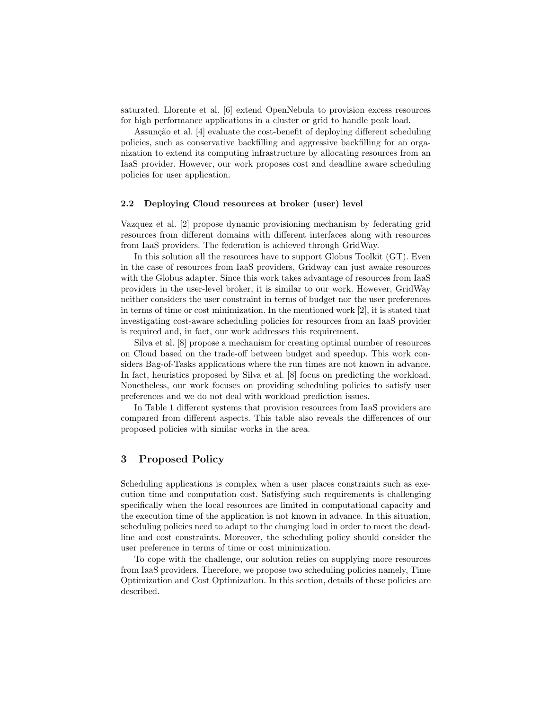saturated. Llorente et al. [6] extend OpenNebula to provision excess resources for high performance applications in a cluster or grid to handle peak load.

Assunção et al. [4] evaluate the cost-benefit of deploying different scheduling policies, such as conservative backfilling and aggressive backfilling for an organization to extend its computing infrastructure by allocating resources from an IaaS provider. However, our work proposes cost and deadline aware scheduling policies for user application.

#### 2.2 Deploying Cloud resources at broker (user) level

Vazquez et al. [2] propose dynamic provisioning mechanism by federating grid resources from different domains with different interfaces along with resources from IaaS providers. The federation is achieved through GridWay.

In this solution all the resources have to support Globus Toolkit (GT). Even in the case of resources from IaaS providers, Gridway can just awake resources with the Globus adapter. Since this work takes advantage of resources from IaaS providers in the user-level broker, it is similar to our work. However, GridWay neither considers the user constraint in terms of budget nor the user preferences in terms of time or cost minimization. In the mentioned work [2], it is stated that investigating cost-aware scheduling policies for resources from an IaaS provider is required and, in fact, our work addresses this requirement.

Silva et al. [8] propose a mechanism for creating optimal number of resources on Cloud based on the trade-off between budget and speedup. This work considers Bag-of-Tasks applications where the run times are not known in advance. In fact, heuristics proposed by Silva et al. [8] focus on predicting the workload. Nonetheless, our work focuses on providing scheduling policies to satisfy user preferences and we do not deal with workload prediction issues.

In Table 1 different systems that provision resources from IaaS providers are compared from different aspects. This table also reveals the differences of our proposed policies with similar works in the area.

## 3 Proposed Policy

Scheduling applications is complex when a user places constraints such as execution time and computation cost. Satisfying such requirements is challenging specifically when the local resources are limited in computational capacity and the execution time of the application is not known in advance. In this situation, scheduling policies need to adapt to the changing load in order to meet the deadline and cost constraints. Moreover, the scheduling policy should consider the user preference in terms of time or cost minimization.

To cope with the challenge, our solution relies on supplying more resources from IaaS providers. Therefore, we propose two scheduling policies namely, Time Optimization and Cost Optimization. In this section, details of these policies are described.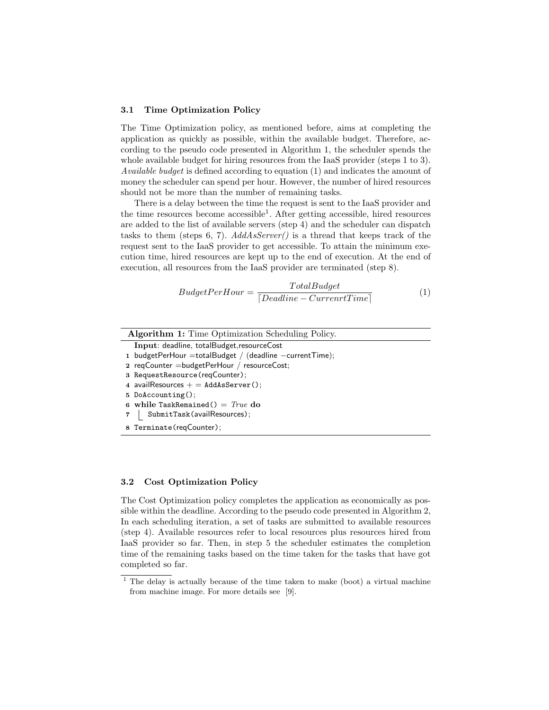#### 3.1 Time Optimization Policy

The Time Optimization policy, as mentioned before, aims at completing the application as quickly as possible, within the available budget. Therefore, according to the pseudo code presented in Algorithm 1, the scheduler spends the whole available budget for hiring resources from the IaaS provider (steps 1 to 3). Available budget is defined according to equation (1) and indicates the amount of money the scheduler can spend per hour. However, the number of hired resources should not be more than the number of remaining tasks.

There is a delay between the time the request is sent to the IaaS provider and the time resources become accessible<sup>1</sup>. After getting accessible, hired resources are added to the list of available servers (step 4) and the scheduler can dispatch tasks to them (steps 6, 7).  $AddAsServer()$  is a thread that keeps track of the request sent to the IaaS provider to get accessible. To attain the minimum execution time, hired resources are kept up to the end of execution. At the end of execution, all resources from the IaaS provider are terminated (step 8).

$$
BudgetPerHour = \frac{TotalBudget}{[Deadline - CurrentTime]}
$$
 (1)

| <b>Algorithm 1:</b> Time Optimization Scheduling Policy. |  |  |  |
|----------------------------------------------------------|--|--|--|
| Input: deadline, totalBudget, resourceCost               |  |  |  |
| 1 budgetPerHour =totalBudget / (deadline -currentTime);  |  |  |  |
| 2 reqCounter = budgetPerHour / resourceCost;             |  |  |  |
| 3 RequestResource(reqCounter);                           |  |  |  |
| 4 availResources $+$ = AddAsServer();                    |  |  |  |
| 5 DoAccounting $()$ ;                                    |  |  |  |
| 6 while TaskRemained() = $True$ do                       |  |  |  |
| SubmitTask(availResources);<br>$7 \mid$                  |  |  |  |
| 8 Terminate (regCounter);                                |  |  |  |
|                                                          |  |  |  |

#### 3.2 Cost Optimization Policy

The Cost Optimization policy completes the application as economically as possible within the deadline. According to the pseudo code presented in Algorithm 2, In each scheduling iteration, a set of tasks are submitted to available resources (step 4). Available resources refer to local resources plus resources hired from IaaS provider so far. Then, in step 5 the scheduler estimates the completion time of the remaining tasks based on the time taken for the tasks that have got completed so far.

 $1$  The delay is actually because of the time taken to make (boot) a virtual machine from machine image. For more details see [9].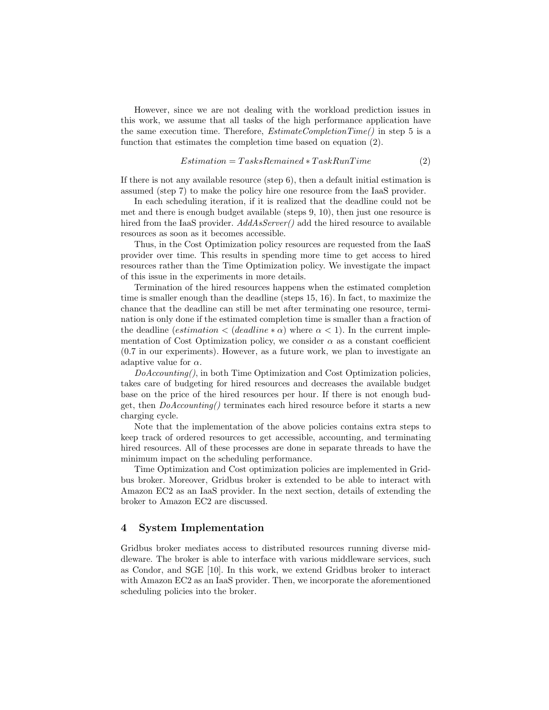However, since we are not dealing with the workload prediction issues in this work, we assume that all tasks of the high performance application have the same execution time. Therefore,  $EstimateCompletionTime()$  in step 5 is a function that estimates the completion time based on equation (2).

$$
Estimation = TasksRemained * TaskRunTime
$$
\n<sup>(2)</sup>

If there is not any available resource (step 6), then a default initial estimation is assumed (step 7) to make the policy hire one resource from the IaaS provider.

In each scheduling iteration, if it is realized that the deadline could not be met and there is enough budget available (steps 9, 10), then just one resource is hired from the IaaS provider.  $AddASServer()$  add the hired resource to available resources as soon as it becomes accessible.

Thus, in the Cost Optimization policy resources are requested from the IaaS provider over time. This results in spending more time to get access to hired resources rather than the Time Optimization policy. We investigate the impact of this issue in the experiments in more details.

Termination of the hired resources happens when the estimated completion time is smaller enough than the deadline (steps 15, 16). In fact, to maximize the chance that the deadline can still be met after terminating one resource, termination is only done if the estimated completion time is smaller than a fraction of the deadline (*estimation* < (*deadline* \*  $\alpha$ ) where  $\alpha$  < 1). In the current implementation of Cost Optimization policy, we consider  $\alpha$  as a constant coefficient (0.7 in our experiments). However, as a future work, we plan to investigate an adaptive value for  $\alpha$ .

 $DoAccording(),$  in both Time Optimization and Cost Optimization policies, takes care of budgeting for hired resources and decreases the available budget base on the price of the hired resources per hour. If there is not enough budget, then  $DoAccounting()$  terminates each hired resource before it starts a new charging cycle.

Note that the implementation of the above policies contains extra steps to keep track of ordered resources to get accessible, accounting, and terminating hired resources. All of these processes are done in separate threads to have the minimum impact on the scheduling performance.

Time Optimization and Cost optimization policies are implemented in Gridbus broker. Moreover, Gridbus broker is extended to be able to interact with Amazon EC2 as an IaaS provider. In the next section, details of extending the broker to Amazon EC2 are discussed.

## 4 System Implementation

Gridbus broker mediates access to distributed resources running diverse middleware. The broker is able to interface with various middleware services, such as Condor, and SGE [10]. In this work, we extend Gridbus broker to interact with Amazon EC2 as an IaaS provider. Then, we incorporate the aforementioned scheduling policies into the broker.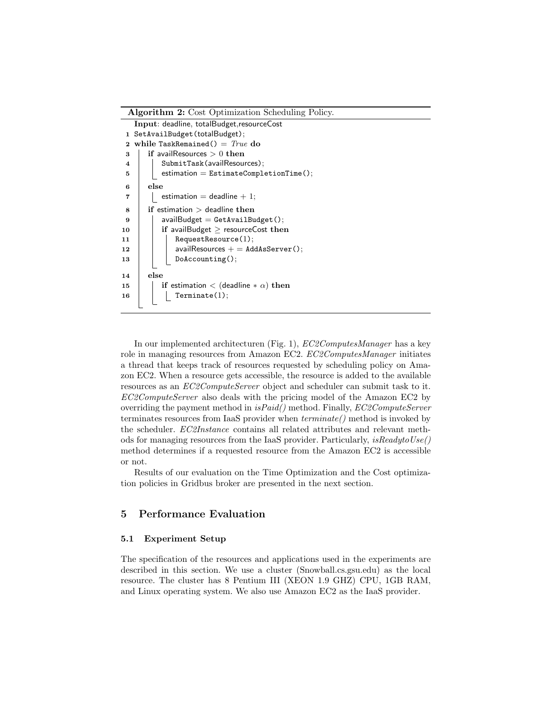Algorithm 2: Cost Optimization Scheduling Policy.

|                         | Input: deadline, totalBudget, resourceCost         |  |  |  |  |
|-------------------------|----------------------------------------------------|--|--|--|--|
| $\mathbf{1}$            | SetAvailBudget(totalBudget);                       |  |  |  |  |
| $\mathbf{2}$            | while TaskRemained() = $True$ do                   |  |  |  |  |
| 3                       | if availResources $>0$ then                        |  |  |  |  |
| $\overline{\mathbf{4}}$ | SubmitTask(availResources);                        |  |  |  |  |
| 5                       | $estimation = EstimateCompletionTime();$           |  |  |  |  |
| 6                       | else                                               |  |  |  |  |
| 7                       | estimation = deadline + 1;                         |  |  |  |  |
| 8                       | if estimation $>$ deadline then                    |  |  |  |  |
| 9                       | $available = GetAvailable();$                      |  |  |  |  |
| 10                      | if availBudget $>$ resourceCost then               |  |  |  |  |
| 11                      | RequestResource(1);                                |  |  |  |  |
| 12                      | availResources $+$ = AddAsServer();                |  |  |  |  |
| 13                      | $DoAccounting()$ ;                                 |  |  |  |  |
| 14                      | else                                               |  |  |  |  |
| 15                      | if estimation $\langle$ (deadline $*\alpha$ ) then |  |  |  |  |
| 16                      | Terminate(1);                                      |  |  |  |  |
|                         |                                                    |  |  |  |  |

In our implemented architecturen (Fig. 1), EC2ComputesManager has a key role in managing resources from Amazon EC2. EC2ComputesManager initiates a thread that keeps track of resources requested by scheduling policy on Amazon EC2. When a resource gets accessible, the resource is added to the available resources as an *EC2ComputeServer* object and scheduler can submit task to it. EC2ComputeServer also deals with the pricing model of the Amazon EC2 by overriding the payment method in isPaid() method. Finally, EC2ComputeServer terminates resources from IaaS provider when terminate() method is invoked by the scheduler. EC2Instance contains all related attributes and relevant methods for managing resources from the IaaS provider. Particularly,  $isReadytoUse()$ method determines if a requested resource from the Amazon EC2 is accessible or not.

Results of our evaluation on the Time Optimization and the Cost optimization policies in Gridbus broker are presented in the next section.

## 5 Performance Evaluation

#### 5.1 Experiment Setup

The specification of the resources and applications used in the experiments are described in this section. We use a cluster (Snowball.cs.gsu.edu) as the local resource. The cluster has 8 Pentium III (XEON 1.9 GHZ) CPU, 1GB RAM, and Linux operating system. We also use Amazon EC2 as the IaaS provider.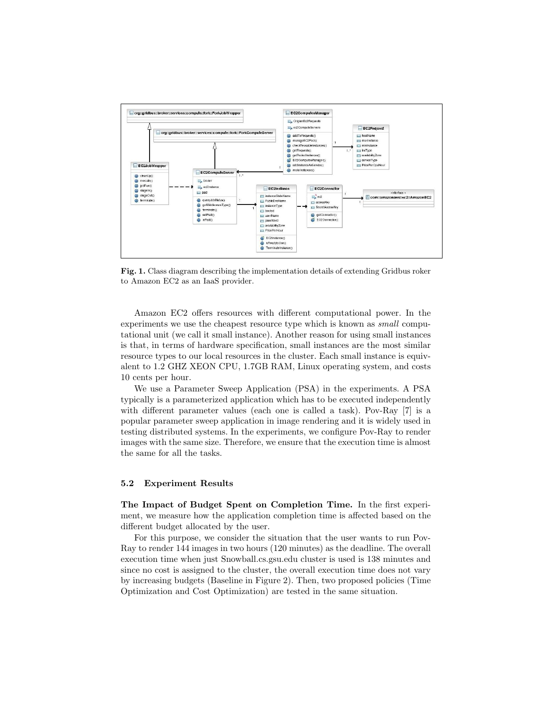

Fig. 1. Class diagram describing the implementation details of extending Gridbus roker to Amazon EC2 as an IaaS provider.

Amazon EC2 offers resources with different computational power. In the experiments we use the cheapest resource type which is known as *small* computational unit (we call it small instance). Another reason for using small instances is that, in terms of hardware specification, small instances are the most similar resource types to our local resources in the cluster. Each small instance is equivalent to 1.2 GHZ XEON CPU, 1.7GB RAM, Linux operating system, and costs 10 cents per hour.

We use a Parameter Sweep Application (PSA) in the experiments. A PSA typically is a parameterized application which has to be executed independently with different parameter values (each one is called a task). Pov-Ray [7] is a popular parameter sweep application in image rendering and it is widely used in testing distributed systems. In the experiments, we configure Pov-Ray to render images with the same size. Therefore, we ensure that the execution time is almost the same for all the tasks.

#### 5.2 Experiment Results

The Impact of Budget Spent on Completion Time. In the first experiment, we measure how the application completion time is affected based on the different budget allocated by the user.

For this purpose, we consider the situation that the user wants to run Pov-Ray to render 144 images in two hours (120 minutes) as the deadline. The overall execution time when just Snowball.cs.gsu.edu cluster is used is 138 minutes and since no cost is assigned to the cluster, the overall execution time does not vary by increasing budgets (Baseline in Figure 2). Then, two proposed policies (Time Optimization and Cost Optimization) are tested in the same situation.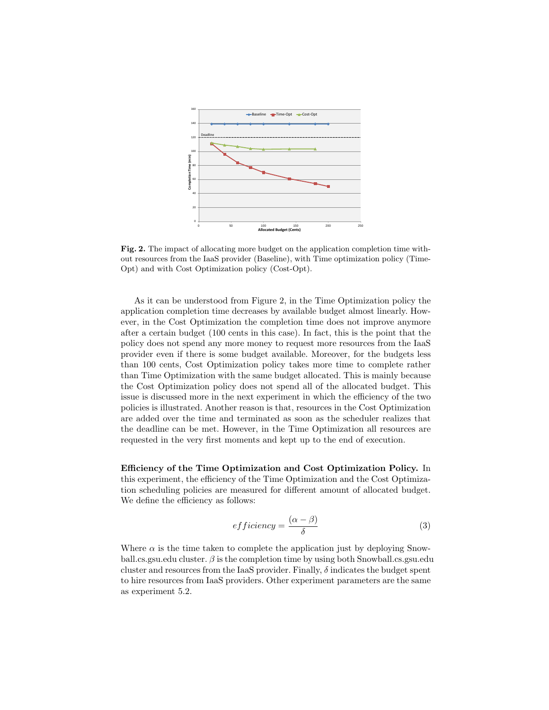

Fig. 2. The impact of allocating more budget on the application completion time without resources from the IaaS provider (Baseline), with Time optimization policy (Time-Opt) and with Cost Optimization policy (Cost-Opt).

As it can be understood from Figure 2, in the Time Optimization policy the application completion time decreases by available budget almost linearly. However, in the Cost Optimization the completion time does not improve anymore after a certain budget (100 cents in this case). In fact, this is the point that the policy does not spend any more money to request more resources from the IaaS provider even if there is some budget available. Moreover, for the budgets less than 100 cents, Cost Optimization policy takes more time to complete rather than Time Optimization with the same budget allocated. This is mainly because the Cost Optimization policy does not spend all of the allocated budget. This issue is discussed more in the next experiment in which the efficiency of the two policies is illustrated. Another reason is that, resources in the Cost Optimization are added over the time and terminated as soon as the scheduler realizes that the deadline can be met. However, in the Time Optimization all resources are requested in the very first moments and kept up to the end of execution.

Efficiency of the Time Optimization and Cost Optimization Policy. In this experiment, the efficiency of the Time Optimization and the Cost Optimization scheduling policies are measured for different amount of allocated budget. We define the efficiency as follows:

$$
efficiency = \frac{(\alpha - \beta)}{\delta} \tag{3}
$$

Where  $\alpha$  is the time taken to complete the application just by deploying Snowball.cs.gsu.edu cluster.  $\beta$  is the completion time by using both Snowball.cs.gsu.edu cluster and resources from the IaaS provider. Finally,  $\delta$  indicates the budget spent to hire resources from IaaS providers. Other experiment parameters are the same as experiment 5.2.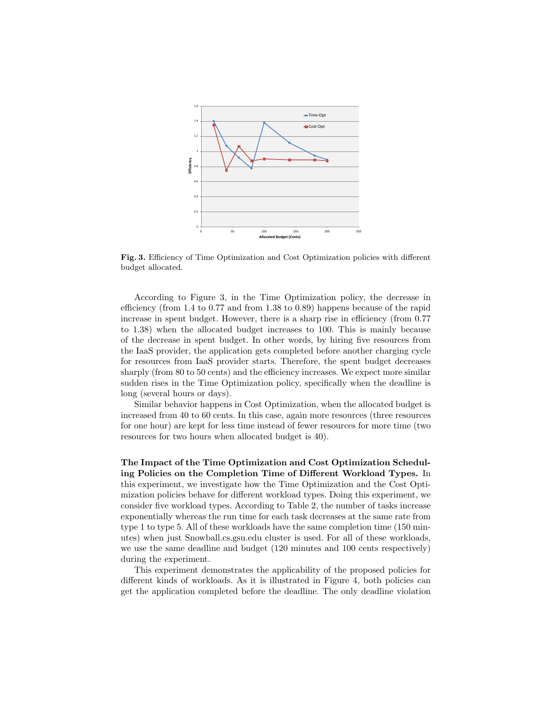

Fig. 3. Efficiency of Time Optimization and Cost Optimization policies with different budget allocated.

According to Figure 3, in the Time Optimization policy, the decrease in efficiency (from 1.4 to 0.77 and from 1.38 to 0.89) happens because of the rapid increase in spent budget. However, there is a sharp rise in efficiency (from 0.77 to 1.38) when the allocated budget increases to 100. This is mainly because of the decrease in spent budget. In other words, by hiring five resources from the IaaS provider, the application gets completed before another charging cycle for resources from IaaS provider starts. Therefore, the spent budget decreases sharply (from 80 to 50 cents) and the efficiency increases. We expect more similar sudden rises in the Time Optimization policy, specifically when the deadline is long (several hours or days).

Similar behavior happens in Cost Optimization, when the allocated budget is increased from 40 to 60 cents. In this case, again more resources (three resources for one hour) are kept for less time instead of fewer resources for more time (two resources for two hours when allocated budget is 40).

The Impact of the Time Optimization and Cost Optimization Scheduling Policies on the Completion Time of Different Workload Types. In this experiment, we investigate how the Time Optimization and the Cost Optimization policies behave for different workload types. Doing this experiment, we consider five workload types. According to Table 2, the number of tasks increase exponentially whereas the run time for each task decreases at the same rate from type 1 to type 5. All of these workloads have the same completion time (150 minutes) when just Snowball.cs.gsu.edu cluster is used. For all of these workloads, we use the same deadline and budget (120 minutes and 100 cents respectively) during the experiment.

This experiment demonstrates the applicability of the proposed policies for different kinds of workloads. As it is illustrated in Figure 4, both policies can get the application completed before the deadline. The only deadline violation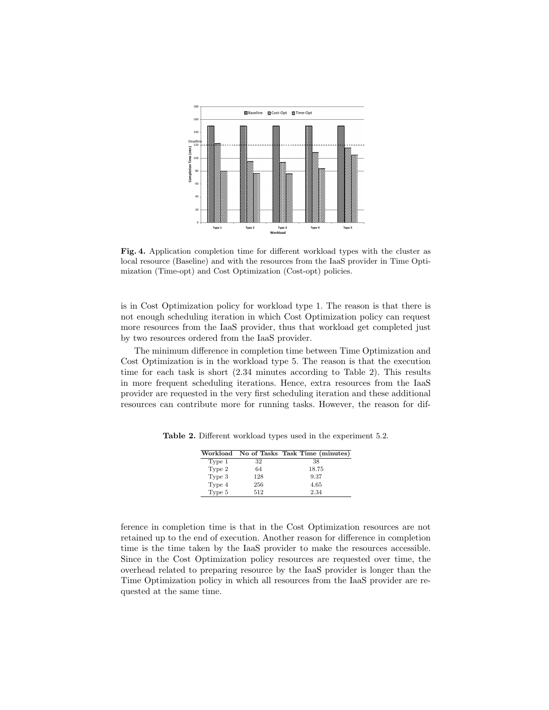

Fig. 4. Application completion time for different workload types with the cluster as local resource (Baseline) and with the resources from the IaaS provider in Time Optimization (Time-opt) and Cost Optimization (Cost-opt) policies.

is in Cost Optimization policy for workload type 1. The reason is that there is not enough scheduling iteration in which Cost Optimization policy can request more resources from the IaaS provider, thus that workload get completed just by two resources ordered from the IaaS provider.

The minimum difference in completion time between Time Optimization and Cost Optimization is in the workload type 5. The reason is that the execution time for each task is short (2.34 minutes according to Table 2). This results in more frequent scheduling iterations. Hence, extra resources from the IaaS provider are requested in the very first scheduling iteration and these additional resources can contribute more for running tasks. However, the reason for dif-

Workload No of Tasks Task Time (minutes) Type 1 32 38<br>Type 2 64 18.75 Type 2 64 18.75<br>Type 3 128 9.37  $\begin{tabular}{ll} Type 3 & \quad \quad \color{red} 128 \\ \end{tabular}$ Type 4 256 4.65<br>Type 5 512 2.34

Type 5

Table 2. Different workload types used in the experiment 5.2.

ference in completion time is that in the Cost Optimization resources are not retained up to the end of execution. Another reason for difference in completion time is the time taken by the IaaS provider to make the resources accessible. Since in the Cost Optimization policy resources are requested over time, the overhead related to preparing resource by the IaaS provider is longer than the Time Optimization policy in which all resources from the IaaS provider are requested at the same time.